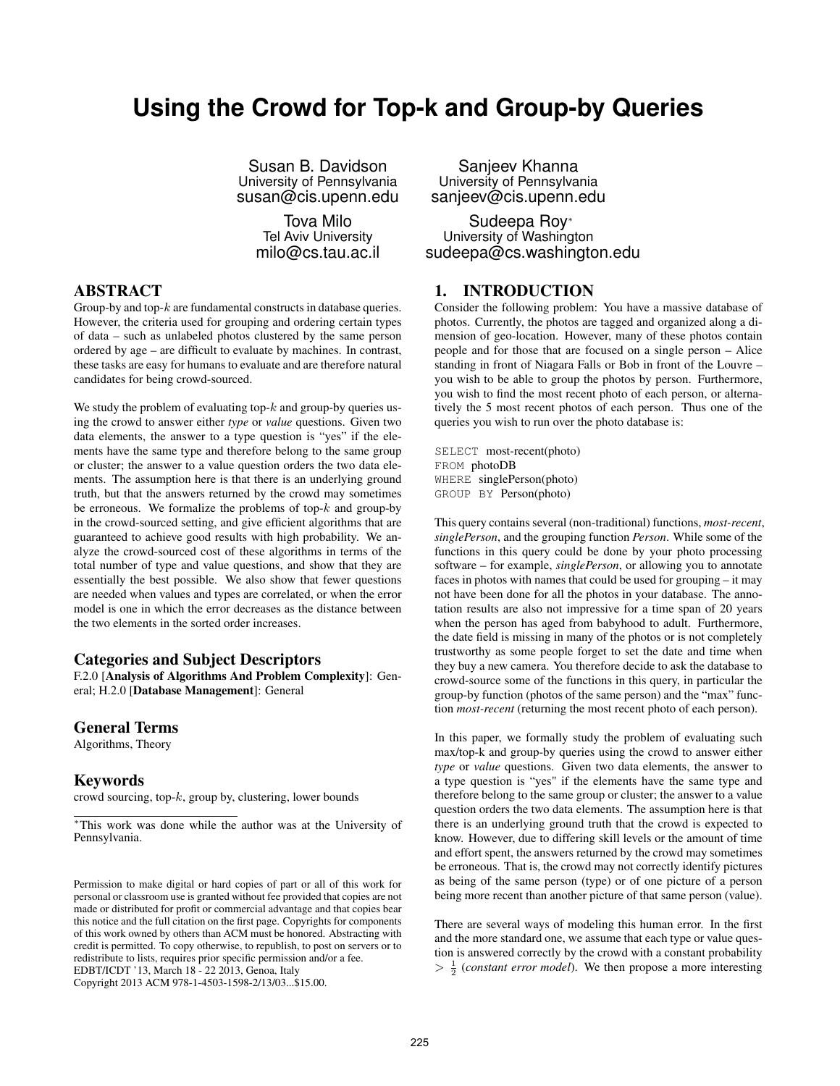# **Using the Crowd for Top-k and Group-by Queries**

Susan B. Davidson University of Pennsylvania susan@cis.upenn.edu

> Tova Milo Tel Aviv University milo@cs.tau.ac.il

### ABSTRACT

Group-by and top- $k$  are fundamental constructs in database queries. However, the criteria used for grouping and ordering certain types of data – such as unlabeled photos clustered by the same person ordered by age – are difficult to evaluate by machines. In contrast, these tasks are easy for humans to evaluate and are therefore natural candidates for being crowd-sourced.

We study the problem of evaluating top- $k$  and group-by queries using the crowd to answer either *type* or *value* questions. Given two data elements, the answer to a type question is "yes" if the elements have the same type and therefore belong to the same group or cluster; the answer to a value question orders the two data elements. The assumption here is that there is an underlying ground truth, but that the answers returned by the crowd may sometimes be erroneous. We formalize the problems of top- $k$  and group-by in the crowd-sourced setting, and give efficient algorithms that are guaranteed to achieve good results with high probability. We analyze the crowd-sourced cost of these algorithms in terms of the total number of type and value questions, and show that they are essentially the best possible. We also show that fewer questions are needed when values and types are correlated, or when the error model is one in which the error decreases as the distance between the two elements in the sorted order increases.

#### Categories and Subject Descriptors

F.2.0 [Analysis of Algorithms And Problem Complexity]: General; H.2.0 [Database Management]: General

#### General Terms

Algorithms, Theory

#### Keywords

crowd sourcing, top-k, group by, clustering, lower bounds

Copyright 2013 ACM 978-1-4503-1598-2/13/03...\$15.00.

Sanjeev Khanna University of Pennsylvania sanjeev@cis.upenn.edu

Sudeepa Roy<sup>∗</sup> University of Washington sudeepa@cs.washington.edu

### 1. INTRODUCTION

Consider the following problem: You have a massive database of photos. Currently, the photos are tagged and organized along a dimension of geo-location. However, many of these photos contain people and for those that are focused on a single person – Alice standing in front of Niagara Falls or Bob in front of the Louvre – you wish to be able to group the photos by person. Furthermore, you wish to find the most recent photo of each person, or alternatively the 5 most recent photos of each person. Thus one of the queries you wish to run over the photo database is:

SELECT most-recent(photo) FROM photoDB WHERE singlePerson(photo) GROUP BY Person(photo)

This query contains several (non-traditional) functions, *most-recent*, *singlePerson*, and the grouping function *Person*. While some of the functions in this query could be done by your photo processing software – for example, *singlePerson*, or allowing you to annotate faces in photos with names that could be used for grouping – it may not have been done for all the photos in your database. The annotation results are also not impressive for a time span of 20 years when the person has aged from babyhood to adult. Furthermore, the date field is missing in many of the photos or is not completely trustworthy as some people forget to set the date and time when they buy a new camera. You therefore decide to ask the database to crowd-source some of the functions in this query, in particular the group-by function (photos of the same person) and the "max" function *most-recent* (returning the most recent photo of each person).

In this paper, we formally study the problem of evaluating such max/top-k and group-by queries using the crowd to answer either *type* or *value* questions. Given two data elements, the answer to a type question is "yes" if the elements have the same type and therefore belong to the same group or cluster; the answer to a value question orders the two data elements. The assumption here is that there is an underlying ground truth that the crowd is expected to know. However, due to differing skill levels or the amount of time and effort spent, the answers returned by the crowd may sometimes be erroneous. That is, the crowd may not correctly identify pictures as being of the same person (type) or of one picture of a person being more recent than another picture of that same person (value).

There are several ways of modeling this human error. In the first and the more standard one, we assume that each type or value question is answered correctly by the crowd with a constant probability  $> \frac{1}{2}$  (*constant error model*). We then propose a more interesting

<sup>∗</sup>This work was done while the author was at the University of Pennsylvania.

Permission to make digital or hard copies of part or all of this work for personal or classroom use is granted without fee provided that copies are not made or distributed for profit or commercial advantage and that copies bear this notice and the full citation on the first page. Copyrights for components of this work owned by others than ACM must be honored. Abstracting with credit is permitted. To copy otherwise, to republish, to post on servers or to redistribute to lists, requires prior specific permission and/or a fee. EDBT/ICDT '13, March 18 - 22 2013, Genoa, Italy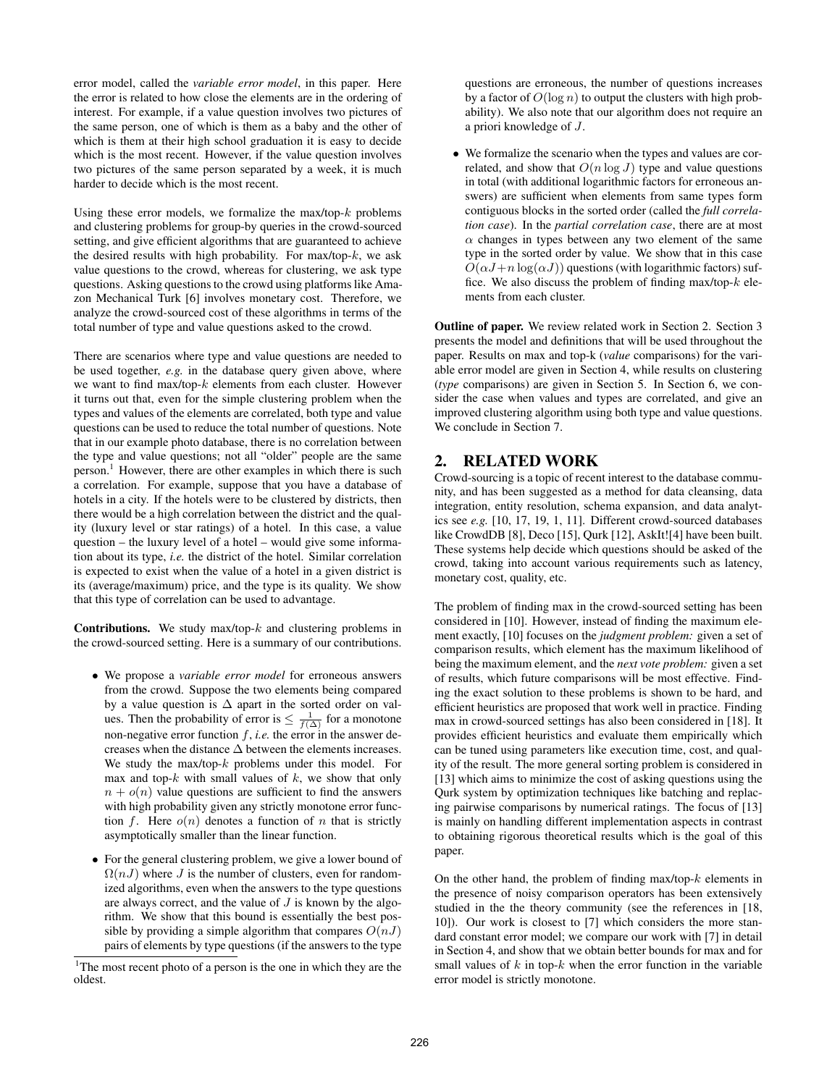error model, called the *variable error model*, in this paper. Here the error is related to how close the elements are in the ordering of interest. For example, if a value question involves two pictures of the same person, one of which is them as a baby and the other of which is them at their high school graduation it is easy to decide which is the most recent. However, if the value question involves two pictures of the same person separated by a week, it is much harder to decide which is the most recent.

Using these error models, we formalize the max/top- $k$  problems and clustering problems for group-by queries in the crowd-sourced setting, and give efficient algorithms that are guaranteed to achieve the desired results with high probability. For max/top- $k$ , we ask value questions to the crowd, whereas for clustering, we ask type questions. Asking questions to the crowd using platforms like Amazon Mechanical Turk [6] involves monetary cost. Therefore, we analyze the crowd-sourced cost of these algorithms in terms of the total number of type and value questions asked to the crowd.

There are scenarios where type and value questions are needed to be used together, *e.g.* in the database query given above, where we want to find max/top-k elements from each cluster. However it turns out that, even for the simple clustering problem when the types and values of the elements are correlated, both type and value questions can be used to reduce the total number of questions. Note that in our example photo database, there is no correlation between the type and value questions; not all "older" people are the same person.<sup>1</sup> However, there are other examples in which there is such a correlation. For example, suppose that you have a database of hotels in a city. If the hotels were to be clustered by districts, then there would be a high correlation between the district and the quality (luxury level or star ratings) of a hotel. In this case, a value question – the luxury level of a hotel – would give some information about its type, *i.e.* the district of the hotel. Similar correlation is expected to exist when the value of a hotel in a given district is its (average/maximum) price, and the type is its quality. We show that this type of correlation can be used to advantage.

**Contributions.** We study max/top- $k$  and clustering problems in the crowd-sourced setting. Here is a summary of our contributions.

- We propose a *variable error model* for erroneous answers from the crowd. Suppose the two elements being compared by a value question is  $\Delta$  apart in the sorted order on values. Then the probability of error is  $\leq \frac{1}{f(\Delta)}$  for a monotone non-negative error function  $f$ , *i.e.* the error in the answer decreases when the distance ∆ between the elements increases. We study the max/top- $k$  problems under this model. For max and top- $k$  with small values of  $k$ , we show that only  $n + o(n)$  value questions are sufficient to find the answers with high probability given any strictly monotone error function f. Here  $o(n)$  denotes a function of n that is strictly asymptotically smaller than the linear function.
- For the general clustering problem, we give a lower bound of  $\Omega(nJ)$  where J is the number of clusters, even for randomized algorithms, even when the answers to the type questions are always correct, and the value of  $J$  is known by the algorithm. We show that this bound is essentially the best possible by providing a simple algorithm that compares  $O(nJ)$ pairs of elements by type questions (if the answers to the type

questions are erroneous, the number of questions increases by a factor of  $O(\log n)$  to output the clusters with high probability). We also note that our algorithm does not require an a priori knowledge of J.

• We formalize the scenario when the types and values are correlated, and show that  $O(n \log J)$  type and value questions in total (with additional logarithmic factors for erroneous answers) are sufficient when elements from same types form contiguous blocks in the sorted order (called the *full correlation case*). In the *partial correlation case*, there are at most  $\alpha$  changes in types between any two element of the same type in the sorted order by value. We show that in this case  $O(\alpha J+n \log(\alpha J))$  questions (with logarithmic factors) suffice. We also discuss the problem of finding max/top- $k$  elements from each cluster.

Outline of paper. We review related work in Section 2. Section 3 presents the model and definitions that will be used throughout the paper. Results on max and top-k (*value* comparisons) for the variable error model are given in Section 4, while results on clustering (*type* comparisons) are given in Section 5. In Section 6, we consider the case when values and types are correlated, and give an improved clustering algorithm using both type and value questions. We conclude in Section 7.

#### 2. RELATED WORK

Crowd-sourcing is a topic of recent interest to the database community, and has been suggested as a method for data cleansing, data integration, entity resolution, schema expansion, and data analytics see *e.g.* [10, 17, 19, 1, 11]. Different crowd-sourced databases like CrowdDB [8], Deco [15], Qurk [12], AskIt![4] have been built. These systems help decide which questions should be asked of the crowd, taking into account various requirements such as latency, monetary cost, quality, etc.

The problem of finding max in the crowd-sourced setting has been considered in [10]. However, instead of finding the maximum element exactly, [10] focuses on the *judgment problem:* given a set of comparison results, which element has the maximum likelihood of being the maximum element, and the *next vote problem:* given a set of results, which future comparisons will be most effective. Finding the exact solution to these problems is shown to be hard, and efficient heuristics are proposed that work well in practice. Finding max in crowd-sourced settings has also been considered in [18]. It provides efficient heuristics and evaluate them empirically which can be tuned using parameters like execution time, cost, and quality of the result. The more general sorting problem is considered in [13] which aims to minimize the cost of asking questions using the Qurk system by optimization techniques like batching and replacing pairwise comparisons by numerical ratings. The focus of [13] is mainly on handling different implementation aspects in contrast to obtaining rigorous theoretical results which is the goal of this paper.

On the other hand, the problem of finding max/top- $k$  elements in the presence of noisy comparison operators has been extensively studied in the the theory community (see the references in [18, 10]). Our work is closest to [7] which considers the more standard constant error model; we compare our work with [7] in detail in Section 4, and show that we obtain better bounds for max and for small values of  $k$  in top- $k$  when the error function in the variable error model is strictly monotone.

 $1$ <sup>1</sup>The most recent photo of a person is the one in which they are the oldest.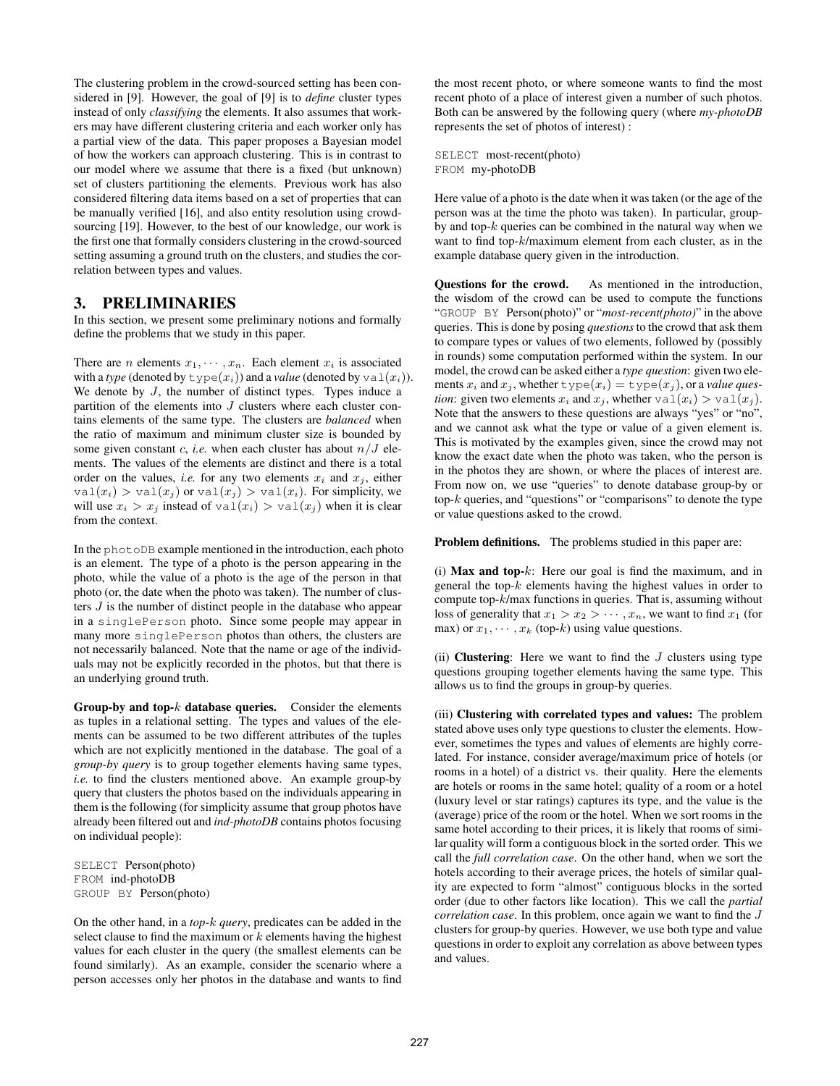The clustering problem in the crowd-sourced setting has been considered in [9]. However, the goal of [9] is to *define* cluster types instead of only *classifying* the elements. It also assumes that workers may have different clustering criteria and each worker only has a partial view of the data. This paper proposes a Bayesian model of how the workers can approach clustering. This is in contrast to our model where we assume that there is a fixed (but unknown) set of clusters partitioning the elements. Previous work has also considered filtering data items based on a set of properties that can be manually verified [16], and also entity resolution using crowdsourcing [19]. However, to the best of our knowledge, our work is the first one that formally considers clustering in the crowd-sourced setting assuming a ground truth on the clusters, and studies the correlation between types and values.

### 3. PRELIMINARIES

In this section, we present some preliminary notions and formally define the problems that we study in this paper.

There are *n* elements  $x_1, \dots, x_n$ . Each element  $x_i$  is associated with a *type* (denoted by  $\text{type}(x_i)$ ) and a *value* (denoted by  $\text{val}(x_i)$ ). We denote by  $J$ , the number of distinct types. Types induce a partition of the elements into  $J$  clusters where each cluster contains elements of the same type. The clusters are *balanced* when the ratio of maximum and minimum cluster size is bounded by some given constant c, *i.e.* when each cluster has about  $n/J$  elements. The values of the elements are distinct and there is a total order on the values, *i.e.* for any two elements  $x_i$  and  $x_j$ , either  $val(x_i) > val(x_j)$  or  $val(x_j) > val(x_i)$ . For simplicity, we will use  $x_i > x_j$  instead of  $\text{val}(x_i) > \text{val}(x_j)$  when it is clear from the context.

In the photoDB example mentioned in the introduction, each photo is an element. The type of a photo is the person appearing in the photo, while the value of a photo is the age of the person in that photo (or, the date when the photo was taken). The number of clusters J is the number of distinct people in the database who appear in a singlePerson photo. Since some people may appear in many more singlePerson photos than others, the clusters are not necessarily balanced. Note that the name or age of the individuals may not be explicitly recorded in the photos, but that there is an underlying ground truth.

Group-by and top- $k$  database queries. Consider the elements as tuples in a relational setting. The types and values of the elements can be assumed to be two different attributes of the tuples which are not explicitly mentioned in the database. The goal of a *group-by query* is to group together elements having same types, *i.e.* to find the clusters mentioned above. An example group-by query that clusters the photos based on the individuals appearing in them is the following (for simplicity assume that group photos have already been filtered out and *ind-photoDB* contains photos focusing on individual people):

SELECT Person(photo) FROM ind-photoDB GROUP BY Person(photo)

On the other hand, in a *top-*k *query*, predicates can be added in the select clause to find the maximum or  $k$  elements having the highest values for each cluster in the query (the smallest elements can be found similarly). As an example, consider the scenario where a person accesses only her photos in the database and wants to find the most recent photo, or where someone wants to find the most recent photo of a place of interest given a number of such photos. Both can be answered by the following query (where *my-photoDB* represents the set of photos of interest) :

SELECT most-recent(photo) FROM my-photoDB

Here value of a photo is the date when it was taken (or the age of the person was at the time the photo was taken). In particular, groupby and top- $k$  queries can be combined in the natural way when we want to find top-k/maximum element from each cluster, as in the example database query given in the introduction.

Questions for the crowd. As mentioned in the introduction, the wisdom of the crowd can be used to compute the functions "GROUP BY Person(photo)" or "*most-recent(photo)*" in the above queries. This is done by posing *questions*to the crowd that ask them to compare types or values of two elements, followed by (possibly in rounds) some computation performed within the system. In our model, the crowd can be asked either a *type question*: given two elements  $x_i$  and  $x_j$ , whether  $\text{type}(x_i) = \text{type}(x_j)$ , or a *value question*: given two elements  $x_i$  and  $x_j$ , whether  $\text{val}(x_i) > \text{val}(x_j)$ . Note that the answers to these questions are always "yes" or "no", and we cannot ask what the type or value of a given element is. This is motivated by the examples given, since the crowd may not know the exact date when the photo was taken, who the person is in the photos they are shown, or where the places of interest are. From now on, we use "queries" to denote database group-by or top- $k$  queries, and "questions" or "comparisons" to denote the type or value questions asked to the crowd.

Problem definitions. The problems studied in this paper are:

(i) Max and top- $k$ : Here our goal is find the maximum, and in general the top- $k$  elements having the highest values in order to compute top-k/max functions in queries. That is, assuming without loss of generality that  $x_1 > x_2 > \cdots, x_n$ , we want to find  $x_1$  (for max) or  $x_1, \dots, x_k$  (top-k) using value questions.

(ii) Clustering: Here we want to find the  $J$  clusters using type questions grouping together elements having the same type. This allows us to find the groups in group-by queries.

(iii) Clustering with correlated types and values: The problem stated above uses only type questions to cluster the elements. However, sometimes the types and values of elements are highly correlated. For instance, consider average/maximum price of hotels (or rooms in a hotel) of a district vs. their quality. Here the elements are hotels or rooms in the same hotel; quality of a room or a hotel (luxury level or star ratings) captures its type, and the value is the (average) price of the room or the hotel. When we sort rooms in the same hotel according to their prices, it is likely that rooms of similar quality will form a contiguous block in the sorted order. This we call the *full correlation case*. On the other hand, when we sort the hotels according to their average prices, the hotels of similar quality are expected to form "almost" contiguous blocks in the sorted order (due to other factors like location). This we call the *partial correlation case*. In this problem, once again we want to find the J clusters for group-by queries. However, we use both type and value questions in order to exploit any correlation as above between types and values.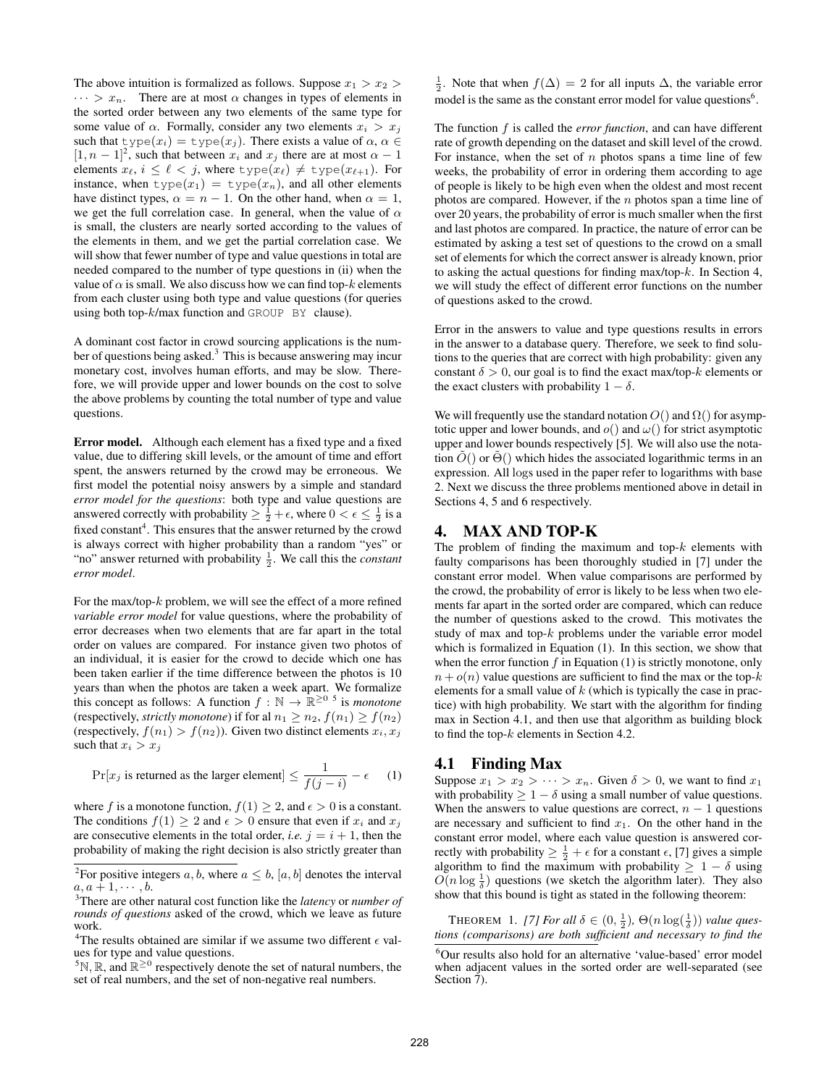The above intuition is formalized as follows. Suppose  $x_1 > x_2$  $\cdots > x_n$ . There are at most  $\alpha$  changes in types of elements in the sorted order between any two elements of the same type for some value of  $\alpha$ . Formally, consider any two elements  $x_i > x_j$ such that  $type(x_i) = type(x_j)$ . There exists a value of  $\alpha, \alpha \in$  $[1, n - 1]^2$ , such that between  $x_i$  and  $x_j$  there are at most  $\alpha - 1$ elements  $x_{\ell}$ ,  $i \leq \ell < j$ , where  $type(x_{\ell}) \neq type(x_{\ell+1})$ . For instance, when  $type(x_1) = type(x_n)$ , and all other elements have distinct types,  $\alpha = n - 1$ . On the other hand, when  $\alpha = 1$ , we get the full correlation case. In general, when the value of  $\alpha$ is small, the clusters are nearly sorted according to the values of the elements in them, and we get the partial correlation case. We will show that fewer number of type and value questions in total are needed compared to the number of type questions in (ii) when the value of  $\alpha$  is small. We also discuss how we can find top- $k$  elements from each cluster using both type and value questions (for queries using both top-k/max function and GROUP BY clause).

A dominant cost factor in crowd sourcing applications is the number of questions being asked. $3$  This is because answering may incur monetary cost, involves human efforts, and may be slow. Therefore, we will provide upper and lower bounds on the cost to solve the above problems by counting the total number of type and value questions.

Error model. Although each element has a fixed type and a fixed value, due to differing skill levels, or the amount of time and effort spent, the answers returned by the crowd may be erroneous. We first model the potential noisy answers by a simple and standard *error model for the questions*: both type and value questions are answered correctly with probability  $\geq \frac{1}{2} + \epsilon$ , where  $0 < \epsilon \leq \frac{1}{2}$  is a fixed constant<sup>4</sup>. This ensures that the answer returned by the crowd is always correct with higher probability than a random "yes" or "no" answer returned with probability  $\frac{1}{2}$ . We call this the *constant error model*.

For the max/top-k problem, we will see the effect of a more refined *variable error model* for value questions, where the probability of error decreases when two elements that are far apart in the total order on values are compared. For instance given two photos of an individual, it is easier for the crowd to decide which one has been taken earlier if the time difference between the photos is 10 years than when the photos are taken a week apart. We formalize this concept as follows: A function  $f : \mathbb{N} \to \mathbb{R}^{\geq 0}$  <sup>5</sup> is *monotone* (respectively, *strictly monotone*) if for al  $n_1 \geq n_2$ ,  $f(n_1) \geq f(n_2)$ (respectively,  $f(n_1) > f(n_2)$ ). Given two distinct elements  $x_i, x_j$ such that  $x_i > x_j$ 

 $Pr[x_j \text{ is returned as the larger element}] \leq \frac{1}{f(z)}$  $\frac{1}{f(j-i)} - \epsilon$  (1)

where f is a monotone function,  $f(1) \geq 2$ , and  $\epsilon > 0$  is a constant. The conditions  $f(1) \geq 2$  and  $\epsilon > 0$  ensure that even if  $x_i$  and  $x_j$ are consecutive elements in the total order, *i.e.*  $j = i + 1$ , then the probability of making the right decision is also strictly greater than

 $\frac{1}{2}$ . Note that when  $f(\Delta) = 2$  for all inputs  $\Delta$ , the variable error model is the same as the constant error model for value questions<sup>6</sup>.

The function  $f$  is called the *error function*, and can have different rate of growth depending on the dataset and skill level of the crowd. For instance, when the set of  $n$  photos spans a time line of few weeks, the probability of error in ordering them according to age of people is likely to be high even when the oldest and most recent photos are compared. However, if the  $n$  photos span a time line of over 20 years, the probability of error is much smaller when the first and last photos are compared. In practice, the nature of error can be estimated by asking a test set of questions to the crowd on a small set of elements for which the correct answer is already known, prior to asking the actual questions for finding max/top- $k$ . In Section 4, we will study the effect of different error functions on the number of questions asked to the crowd.

Error in the answers to value and type questions results in errors in the answer to a database query. Therefore, we seek to find solutions to the queries that are correct with high probability: given any constant  $\delta > 0$ , our goal is to find the exact max/top-k elements or the exact clusters with probability  $1 - \delta$ .

We will frequently use the standard notation  $O($ ) and  $\Omega($ ) for asymptotic upper and lower bounds, and  $o()$  and  $\omega()$  for strict asymptotic upper and lower bounds respectively [5]. We will also use the notation  $O()$  or  $\Theta()$  which hides the associated logarithmic terms in an expression. All logs used in the paper refer to logarithms with base 2. Next we discuss the three problems mentioned above in detail in Sections 4, 5 and 6 respectively.

### 4. MAX AND TOP-K

The problem of finding the maximum and top- $k$  elements with faulty comparisons has been thoroughly studied in [7] under the constant error model. When value comparisons are performed by the crowd, the probability of error is likely to be less when two elements far apart in the sorted order are compared, which can reduce the number of questions asked to the crowd. This motivates the study of max and top-k problems under the variable error model which is formalized in Equation (1). In this section, we show that when the error function  $f$  in Equation (1) is strictly monotone, only  $n + o(n)$  value questions are sufficient to find the max or the top-k elements for a small value of  $k$  (which is typically the case in practice) with high probability. We start with the algorithm for finding max in Section 4.1, and then use that algorithm as building block to find the top-k elements in Section 4.2.

#### 4.1 Finding Max

Suppose  $x_1 > x_2 > \cdots > x_n$ . Given  $\delta > 0$ , we want to find  $x_1$ with probability  $\geq 1 - \delta$  using a small number of value questions. When the answers to value questions are correct,  $n - 1$  questions are necessary and sufficient to find  $x_1$ . On the other hand in the constant error model, where each value question is answered correctly with probability  $\geq \frac{1}{2} + \epsilon$  for a constant  $\epsilon$ , [7] gives a simple algorithm to find the maximum with probability  $\geq 1 - \delta$  using  $O(n \log \frac{1}{\delta})$  questions (we sketch the algorithm later). They also show that this bound is tight as stated in the following theorem:

THEOREM 1. [7] For all  $\delta \in (0, \frac{1}{2})$ ,  $\Theta(n \log(\frac{1}{\delta}))$  value ques*tions (comparisons) are both sufficient and necessary to find the*

<sup>&</sup>lt;sup>2</sup>For positive integers a, b, where  $a \leq b$ ,  $[a, b]$  denotes the interval  $a, a+1, \cdots, b.$ 

<sup>3</sup>There are other natural cost function like the *latency* or *number of rounds of questions* asked of the crowd, which we leave as future work.

<sup>&</sup>lt;sup>4</sup>The results obtained are similar if we assume two different  $\epsilon$  values for type and value questions.

<sup>&</sup>lt;sup>5</sup>N, R, and  $\mathbb{R}^{\geq 0}$  respectively denote the set of natural numbers, the set of real numbers, and the set of non-negative real numbers.

<sup>6</sup>Our results also hold for an alternative 'value-based' error model when adjacent values in the sorted order are well-separated (see Section 7).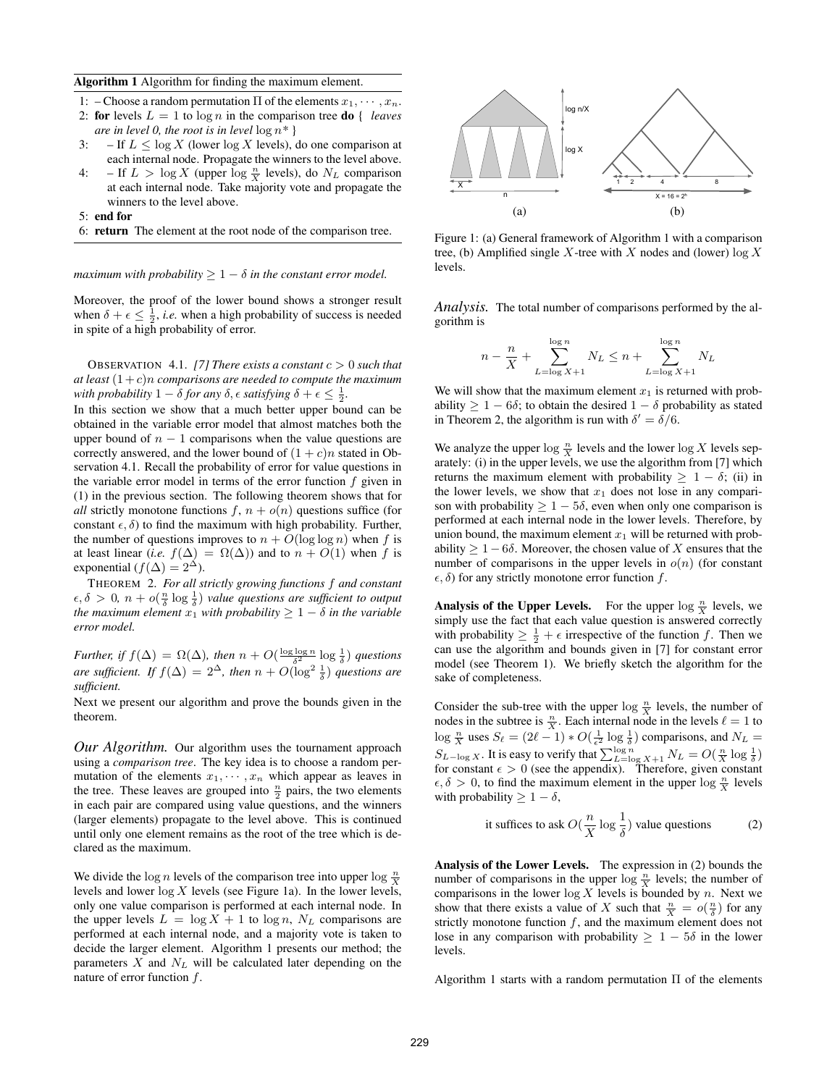#### Algorithm 1 Algorithm for finding the maximum element.

- 1: Choose a random permutation  $\Pi$  of the elements  $x_1, \dots, x_n$ .
- 2: **for** levels  $L = 1$  to  $\log n$  in the comparison tree **do** { *leaves are in level 0, the root is in level* log n*\** }
- 3: If  $L \leq \log X$  (lower  $\log X$  levels), do one comparison at each internal node. Propagate the winners to the level above.
- 4:  $-If L > log X (upper log  $\frac{n}{X}$  levels), do  $N_L$  comparison$ at each internal node. Take majority vote and propagate the winners to the level above.

5: end for

6: return The element at the root node of the comparison tree.

*maximum with probability*  $> 1 - \delta$  *in the constant error model.* 

Moreover, the proof of the lower bound shows a stronger result when  $\delta + \epsilon \leq \frac{1}{2}$ , *i.e.* when a high probability of success is needed in spite of a high probability of error.

OBSERVATION 4.1. *[7] There exists a constant* c > 0 *such that* at least  $(1+c)n$  *comparisons are needed to compute the maximum* with probability  $1 - \delta$  for any  $\delta$ ,  $\epsilon$  satisfying  $\delta + \epsilon \leq \frac{1}{2}$ .

In this section we show that a much better upper bound can be obtained in the variable error model that almost matches both the upper bound of  $n - 1$  comparisons when the value questions are correctly answered, and the lower bound of  $(1 + c)n$  stated in Observation 4.1. Recall the probability of error for value questions in the variable error model in terms of the error function  $f$  given in (1) in the previous section. The following theorem shows that for *all* strictly monotone functions  $f, n + o(n)$  questions suffice (for constant  $\epsilon$ ,  $\delta$ ) to find the maximum with high probability. Further, the number of questions improves to  $n + O(\log \log n)$  when f is at least linear (*i.e.*  $f(\Delta) = \Omega(\Delta)$ ) and to  $n + O(1)$  when f is exponential ( $f(\Delta) = 2^{\Delta}$ ).

THEOREM 2. *For all strictly growing functions* f *and constant*  $\epsilon, \delta > 0$ ,  $n + o(\frac{n}{\delta} \log \frac{1}{\delta})$  *value questions are sufficient to output the maximum element*  $x_1$  *with probability*  $\geq 1 - \delta$  *in the variable error model.*

*Further, if*  $f(\Delta) = \Omega(\Delta)$ *, then*  $n + O(\frac{\log \log n}{\delta^2} \log \frac{1}{\delta})$  *questions are sufficient. If*  $f(\Delta) = 2^{\Delta}$ *, then*  $n + O(\log^2 \frac{1}{\delta})$  *questions are sufficient.*

Next we present our algorithm and prove the bounds given in the theorem.

*Our Algorithm.* Our algorithm uses the tournament approach using a *comparison tree*. The key idea is to choose a random permutation of the elements  $x_1, \dots, x_n$  which appear as leaves in the tree. These leaves are grouped into  $\frac{n}{2}$  pairs, the two elements in each pair are compared using value questions, and the winners (larger elements) propagate to the level above. This is continued until only one element remains as the root of the tree which is declared as the maximum.

We divide the log *n* levels of the comparison tree into upper log  $\frac{n}{X}$ levels and lower  $\log X$  levels (see Figure 1a). In the lower levels, only one value comparison is performed at each internal node. In the upper levels  $L = \log X + 1$  to  $\log n$ ,  $N_L$  comparisons are performed at each internal node, and a majority vote is taken to decide the larger element. Algorithm 1 presents our method; the parameters  $X$  and  $N<sub>L</sub>$  will be calculated later depending on the nature of error function f.



Figure 1: (a) General framework of Algorithm 1 with a comparison tree, (b) Amplified single X-tree with X nodes and (lower)  $\log X$ levels.

*Analysis.* The total number of comparisons performed by the algorithm is

$$
n - \frac{n}{X} + \sum_{L=\log X + 1}^{\log n} N_L \le n + \sum_{L=\log X + 1}^{\log n} N_L
$$

We will show that the maximum element  $x_1$  is returned with probability  $\geq 1 - 6\delta$ ; to obtain the desired  $1 - \delta$  probability as stated in Theorem 2, the algorithm is run with  $\delta' = \delta/6$ .

We analyze the upper  $\log \frac{n}{X}$  levels and the lower  $\log X$  levels separately: (i) in the upper levels, we use the algorithm from [7] which returns the maximum element with probability  $> 1 - \delta$ ; (ii) in the lower levels, we show that  $x_1$  does not lose in any comparison with probability  $\geq 1 - 5\delta$ , even when only one comparison is performed at each internal node in the lower levels. Therefore, by union bound, the maximum element  $x_1$  will be returned with probability  $\geq 1-6\delta$ . Moreover, the chosen value of X ensures that the number of comparisons in the upper levels in  $o(n)$  (for constant  $\epsilon$ ,  $\delta$ ) for any strictly monotone error function f.

**Analysis of the Upper Levels.** For the upper  $\log \frac{n}{X}$  levels, we simply use the fact that each value question is answered correctly with probability  $\geq \frac{1}{2} + \epsilon$  irrespective of the function f. Then we can use the algorithm and bounds given in [7] for constant error model (see Theorem 1). We briefly sketch the algorithm for the sake of completeness.

Consider the sub-tree with the upper  $\log \frac{n}{X}$  levels, the number of nodes in the subtree is  $\frac{n}{X}$ . Each internal node in the levels  $\ell = 1$  to  $\log \frac{n}{X}$  uses  $S_\ell = (2\ell - 1) * O(\frac{1}{\epsilon^2} \log \frac{1}{\delta})$  comparisons, and  $N_L =$  $S_{L-\log X}$ . It is easy to verify that  $\sum_{L=\log X+1}^{\log n} N_L = O(\frac{n}{X} \log \frac{1}{\delta})$ for constant  $\epsilon > 0$  (see the appendix). Therefore, given constant  $\epsilon, \delta > 0$ , to find the maximum element in the upper  $\log \frac{n}{X}$  levels with probability  $\geq 1 - \delta$ ,

it suffices to ask 
$$
O(\frac{n}{X} \log \frac{1}{\delta})
$$
 value questions (2)

Analysis of the Lower Levels. The expression in (2) bounds the number of comparisons in the upper  $\log \frac{n}{X}$  levels; the number of comparisons in the lower  $\log X$  levels is bounded by n. Next we show that there exists a value of X such that  $\frac{n}{X} = o(\frac{n}{\delta})$  for any strictly monotone function  $f$ , and the maximum element does not lose in any comparison with probability  $\geq 1 - 5\delta$  in the lower levels.

Algorithm 1 starts with a random permutation  $\Pi$  of the elements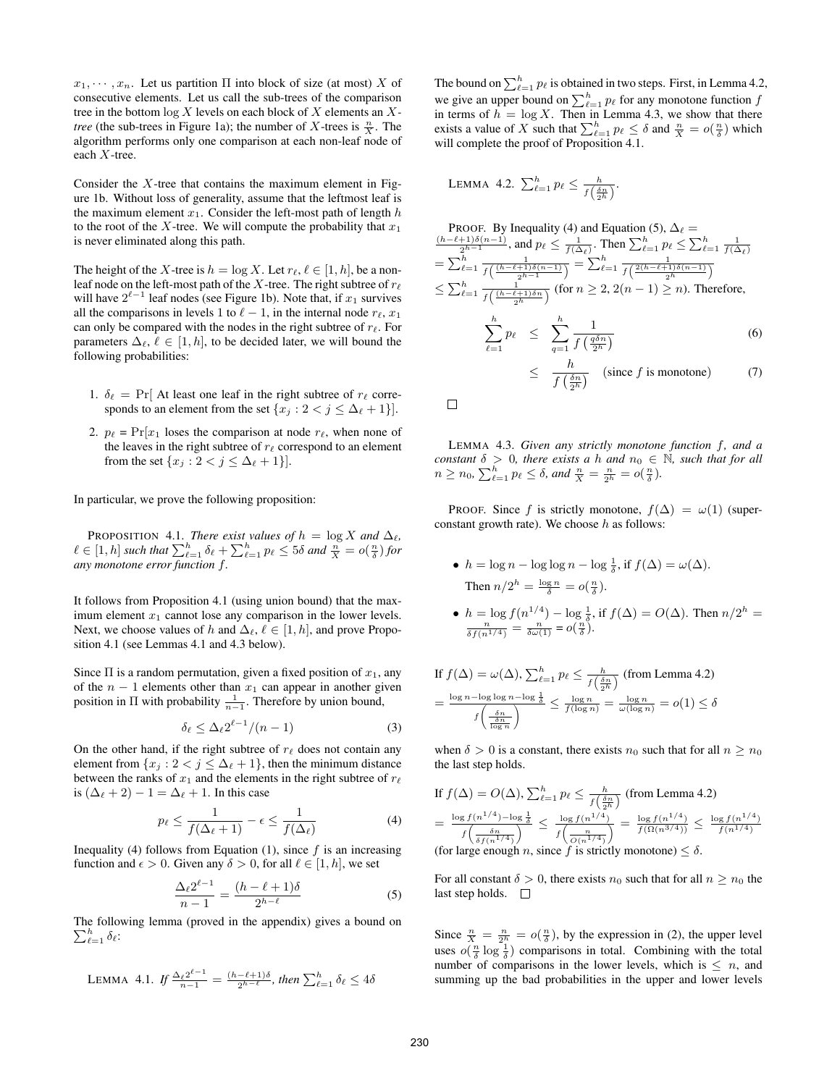$x_1, \dots, x_n$ . Let us partition  $\Pi$  into block of size (at most) X of consecutive elements. Let us call the sub-trees of the comparison tree in the bottom log X levels on each block of X elements an X*tree* (the sub-trees in Figure 1a); the number of X-trees is  $\frac{n}{X}$ . The algorithm performs only one comparison at each non-leaf node of each X-tree.

Consider the  $X$ -tree that contains the maximum element in Figure 1b. Without loss of generality, assume that the leftmost leaf is the maximum element  $x_1$ . Consider the left-most path of length h to the root of the X-tree. We will compute the probability that  $x_1$ is never eliminated along this path.

The height of the X-tree is  $h = \log X$ . Let  $r_{\ell}, \ell \in [1, h]$ , be a nonleaf node on the left-most path of the X-tree. The right subtree of  $r_\ell$ will have  $2^{\ell-1}$  leaf nodes (see Figure 1b). Note that, if  $x_1$  survives all the comparisons in levels 1 to  $\ell - 1$ , in the internal node  $r_{\ell}, x_1$ can only be compared with the nodes in the right subtree of  $r_\ell$ . For parameters  $\Delta_{\ell}, \ell \in [1, h]$ , to be decided later, we will bound the following probabilities:

- 1.  $\delta_{\ell} = \Pr[\text{ At least one leaf in the right subtree of } r_{\ell} \text{ corre-}$ sponds to an element from the set  $\{x_j : 2 < j \leq \Delta_\ell + 1\}$ .
- 2.  $p_{\ell} = \Pr[x_1]$  loses the comparison at node  $r_{\ell}$ , when none of the leaves in the right subtree of  $r_\ell$  correspond to an element from the set  $\{x_j : 2 < j \leq \Delta_\ell + 1\}$ .

In particular, we prove the following proposition:

PROPOSITION 4.1. *There exist values of*  $h = \log X$  *and*  $\Delta_{\ell}$ *,*  $\ell \in [1, h]$  such that  $\sum_{\ell=1}^h \delta_\ell + \sum_{\ell=1}^h p_\ell \leq 5\delta$  and  $\frac{n}{X} = o(\frac{n}{\delta})$  for *any monotone error function* f*.*

It follows from Proposition 4.1 (using union bound) that the maximum element  $x_1$  cannot lose any comparison in the lower levels. Next, we choose values of h and  $\Delta_{\ell}, \ell \in [1, h]$ , and prove Proposition 4.1 (see Lemmas 4.1 and 4.3 below).

Since  $\Pi$  is a random permutation, given a fixed position of  $x_1$ , any of the  $n - 1$  elements other than  $x_1$  can appear in another given position in  $\Pi$  with probability  $\frac{1}{n-1}$ . Therefore by union bound,

$$
\delta_{\ell} \le \Delta_{\ell} 2^{\ell-1} / (n-1) \tag{3}
$$

On the other hand, if the right subtree of  $r_\ell$  does not contain any element from  $\{x_j : 2 < j \leq \Delta_\ell + 1\}$ , then the minimum distance between the ranks of  $x_1$  and the elements in the right subtree of  $r_\ell$ is  $(\Delta_{\ell} + 2) - 1 = \Delta_{\ell} + 1$ . In this case

$$
p_{\ell} \le \frac{1}{f(\Delta_{\ell} + 1)} - \epsilon \le \frac{1}{f(\Delta_{\ell})}
$$
 (4)

Inequality (4) follows from Equation (1), since  $f$  is an increasing function and  $\epsilon > 0$ . Given any  $\delta > 0$ , for all  $\ell \in [1, h]$ , we set

$$
\frac{\Delta_{\ell} 2^{\ell-1}}{n-1} = \frac{(h-\ell+1)\delta}{2^{h-\ell}} \tag{5}
$$

The following lemma (proved in the appendix) gives a bound on  $\sum_{\ell=1}^h \delta_\ell$ :

LEMMA 4.1. If 
$$
\frac{\Delta_{\ell} 2^{\ell-1}}{n-1} = \frac{(h-\ell+1)\delta}{2^{h-\ell}}
$$
, then  $\sum_{\ell=1}^{h} \delta_{\ell} \leq 4\delta$ 

The bound on  $\sum_{\ell=1}^h p_\ell$  is obtained in two steps. First, in Lemma 4.2, we give an upper bound on  $\sum_{\ell=1}^h p_\ell$  for any monotone function  $f$ in terms of  $h = \log X$ . Then in Lemma 4.3, we show that there exists a value of X such that  $\sum_{\ell=1}^h p_\ell \leq \delta$  and  $\frac{n}{X} = o(\frac{n}{\delta})$  which will complete the proof of Proposition 4.1.

LEMMA 4.2. 
$$
\sum_{\ell=1}^h p_{\ell} \leq \frac{h}{f\left(\frac{\delta n}{2^h}\right)}.
$$

PROOF. By Inequality (4) and Equation (5), 
$$
\Delta_{\ell} = \frac{(h-\ell+1)\delta(n-1)}{2^{h-1}}
$$
, and  $p_{\ell} \leq \frac{1}{f(\Delta_{\ell})}$ . Then  $\sum_{\ell=1}^{h} p_{\ell} \leq \sum_{\ell=1}^{h} \frac{1}{f(\Delta_{\ell})}$   
\n $= \sum_{\ell=1}^{h} \frac{1}{f\left(\frac{(h-\ell+1)\delta(n-1)}{2^{h-1}}\right)} = \sum_{\ell=1}^{h} \frac{1}{f\left(\frac{2(h-\ell+1)\delta(n-1)}{2^{h}}\right)}$   
\n $\leq \sum_{\ell=1}^{h} \frac{1}{f\left(\frac{(h-\ell+1)\delta n}{2^{h}}\right)}$  (for  $n \geq 2, 2(n-1) \geq n$ ). Therefore,  
\n $\sum_{\ell=1}^{h} p_{\ell} \leq \sum_{q=1}^{h} \frac{1}{f\left(\frac{q\delta n}{2^{h}}\right)}$  (6)  
\n $\leq \frac{h}{f\left(\frac{\delta n}{2^{h}}\right)}$  (since *f* is monotone) (7)

LEMMA 4.3. *Given any strictly monotone function* f*, and a constant*  $\delta > 0$ *, there exists a* h *and*  $n_0 \in \mathbb{N}$ *, such that for all*  $n \geq n_0$ ,  $\sum_{\ell=1}^h p_\ell \leq \delta$ , and  $\frac{n}{X} = \frac{n}{2^h} = o(\frac{n}{\delta})$ .

PROOF. Since f is strictly monotone,  $f(\Delta) = \omega(1)$  (superconstant growth rate). We choose  $h$  as follows:

- $h = \log n \log \log n \log \frac{1}{\delta}$ , if  $f(\Delta) = \omega(\Delta)$ . Then  $n/2^h = \frac{\log n}{\delta} = o(\frac{n}{\delta}).$
- $h = \log f(n^{1/4}) \log \frac{1}{\delta}$ , if  $f(\Delta) = O(\Delta)$ . Then  $n/2^h = \frac{n}{\delta f(n^{1/4})} = \frac{n}{\delta \omega(1)} = o(\frac{n}{\delta})$ .

If 
$$
f(\Delta) = \omega(\Delta)
$$
,  $\sum_{\ell=1}^{h} p_{\ell} \le \frac{h}{f(\frac{\delta n}{2h})}$  (from Lemma 4.2)  
=  $\frac{\log n - \log \log n - \log \frac{1}{\delta}}{f(\frac{\delta n}{\log n})} \le \frac{\log n}{f(\log n)} = \frac{\log n}{\omega(\log n)} = o(1) \le \delta$ 

when  $\delta > 0$  is a constant, there exists  $n_0$  such that for all  $n \geq n_0$ the last step holds.

If 
$$
f(\Delta) = O(\Delta)
$$
,  $\sum_{\ell=1}^h p_\ell \le \frac{h}{f(\frac{\delta n}{2h})}$  (from Lemma 4.2)  
\n
$$
= \frac{\log f(n^{1/4}) - \log \frac{1}{\delta}}{f(\frac{\delta n}{\delta f(n^{1/4})})} \le \frac{\log f(n^{1/4})}{f(\frac{n}{O(n^{1/4})})} = \frac{\log f(n^{1/4})}{f(\Omega(n^{3/4}))} \le \frac{\log f(n^{1/4})}{f(n^{1/4})}
$$
\n(for large enough *n*, since *f* is strictly monotone)  $\le \delta$ .

For all constant  $\delta > 0$ , there exists  $n_0$  such that for all  $n > n_0$  the last step holds.  $\square$ 

Since  $\frac{n}{X} = \frac{n}{2^h} = o(\frac{n}{\delta})$ , by the expression in (2), the upper level uses  $o(\frac{n}{\delta} \log \frac{1}{\delta})$  comparisons in total. Combining with the total number of comparisons in the lower levels, which is  $\leq n$ , and summing up the bad probabilities in the upper and lower levels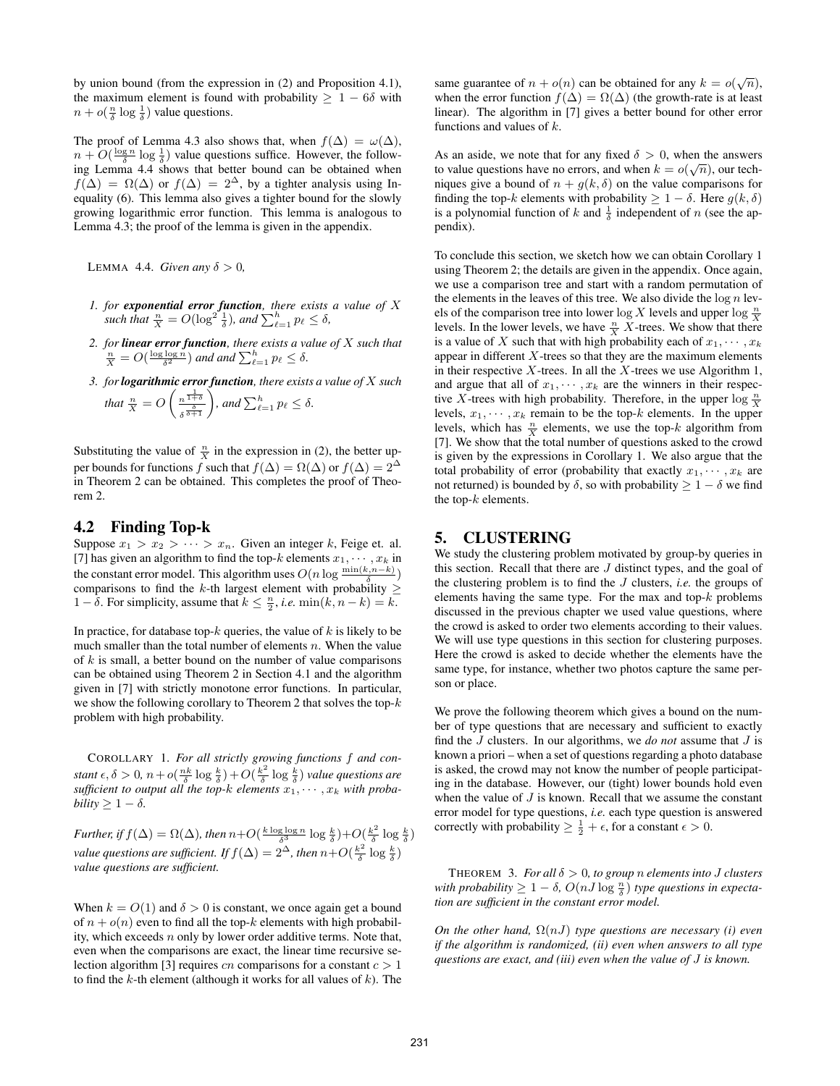by union bound (from the expression in (2) and Proposition 4.1), the maximum element is found with probability  $\geq 1 - 6\delta$  with  $n + o(\frac{n}{\delta} \log \frac{1}{\delta})$  value questions.

The proof of Lemma 4.3 also shows that, when  $f(\Delta) = \omega(\Delta)$ ,  $n + O(\frac{\log n}{\delta} \log \frac{1}{\delta})$  value questions suffice. However, the following Lemma 4.4 shows that better bound can be obtained when  $f(\Delta) = \Omega(\Delta)$  or  $f(\Delta) = 2^{\Delta}$ , by a tighter analysis using Inequality (6). This lemma also gives a tighter bound for the slowly growing logarithmic error function. This lemma is analogous to Lemma 4.3; the proof of the lemma is given in the appendix.

LEMMA 4.4. *Given any*  $\delta > 0$ ,

- *1. for exponential error function, there exists a value of* X such that  $\frac{n}{X} = O(\log^2 \frac{1}{\delta})$ , and  $\sum_{\ell=1}^h p_\ell \leq \delta$ ,
- 2. for **linear error function**, there exists a value of *X* such that  $\frac{n}{X} = O(\frac{\log \log n}{\delta^2})$  and and  $\sum_{\ell=1}^h p_\ell \leq \delta$ .
- *3. forlogarithmic error function, there exists a value of* X *such*

that 
$$
\frac{n}{X} = O\left(\frac{n^{\frac{1}{1+\delta}}}{\delta^{\frac{\delta}{\delta+1}}}\right)
$$
, and  $\sum_{\ell=1}^h p_\ell \leq \delta$ .

Substituting the value of  $\frac{n}{X}$  in the expression in (2), the better upper bounds for functions f such that  $f(\Delta) = \Omega(\Delta)$  or  $f(\Delta) = 2^{\Delta}$ in Theorem 2 can be obtained. This completes the proof of Theorem 2.

### 4.2 Finding Top-k

Suppose  $x_1 > x_2 > \cdots > x_n$ . Given an integer k, Feige et. al. [7] has given an algorithm to find the top- $k$  elements  $x_1, \dots, x_k$  in the constant error model. This algorithm uses  $O(n \log \frac{\min(k, n-k)}{\delta})$ comparisons to find the k-th largest element with probability  $\geq$ 1 –  $\delta$ . For simplicity, assume that  $k \leq \frac{n}{2}$ , *i.e.* min $(k, n-k) = k$ .

In practice, for database top- $k$  queries, the value of  $k$  is likely to be much smaller than the total number of elements  $n$ . When the value of  $k$  is small, a better bound on the number of value comparisons can be obtained using Theorem 2 in Section 4.1 and the algorithm given in [7] with strictly monotone error functions. In particular, we show the following corollary to Theorem 2 that solves the top- $k$ problem with high probability.

COROLLARY 1. *For all strictly growing functions* f *and constant*  $\epsilon, \delta > 0$ ,  $n + o(\frac{nk}{\delta} \log \frac{k}{\delta}) + O(\frac{k^2}{\delta})$  $\frac{k^2}{\delta}\log\frac{k}{\delta}$ ) value questions are sufficient to output all the top- $k$  elements  $x_1, \dots, x_k$  with proba*bility*  $\geq 1 - \delta$ *.* 

*Further, if*  $f(\Delta) = \Omega(\Delta)$ *, then*  $n+O(\frac{k \log \log n}{\delta^3} \log \frac{k}{\delta})+O(\frac{k^2}{\delta})$  $\frac{\varepsilon^2}{\delta} \log \frac{k}{\delta}$ ) *value questions are sufficient. If*  $f(\Delta) = 2^{\Delta}$ *, then*  $n+O(\frac{k^2}{\delta})$  $\frac{\varepsilon^2}{\delta} \log \frac{k}{\delta}$ ) *value questions are sufficient.*

When  $k = O(1)$  and  $\delta > 0$  is constant, we once again get a bound of  $n + o(n)$  even to find all the top-k elements with high probability, which exceeds  $n$  only by lower order additive terms. Note that, even when the comparisons are exact, the linear time recursive selection algorithm [3] requires cn comparisons for a constant  $c > 1$ to find the  $k$ -th element (although it works for all values of  $k$ ). The

same guarantee of  $n + o(n)$  can be obtained for any  $k = o(\sqrt{n})$ , when the error function  $f(\Delta) = \Omega(\Delta)$  (the growth-rate is at least linear). The algorithm in [7] gives a better bound for other error functions and values of k.

As an aside, we note that for any fixed  $\delta > 0$ , when the answers to value questions have no errors, and when  $k = o(\sqrt{n})$ , our techniques give a bound of  $n + q(k, \delta)$  on the value comparisons for finding the top-k elements with probability  $\geq 1 - \delta$ . Here  $q(k, \delta)$ is a polynomial function of k and  $\frac{1}{\delta}$  independent of n (see the appendix).

To conclude this section, we sketch how we can obtain Corollary 1 using Theorem 2; the details are given in the appendix. Once again, we use a comparison tree and start with a random permutation of the elements in the leaves of this tree. We also divide the  $\log n$  levels of the comparison tree into lower log X levels and upper log  $\frac{n}{X}$ levels. In the lower levels, we have  $\frac{n}{X} X$ -trees. We show that there is a value of X such that with high probability each of  $x_1, \dots, x_k$ appear in different  $X$ -trees so that they are the maximum elements in their respective  $X$ -trees. In all the  $X$ -trees we use Algorithm 1, and argue that all of  $x_1, \dots, x_k$  are the winners in their respective X-trees with high probability. Therefore, in the upper  $\log \frac{n}{X}$ levels,  $x_1, \dots, x_k$  remain to be the top-k elements. In the upper levels, which has  $\frac{n}{X}$  elements, we use the top- $k$  algorithm from [7]. We show that the total number of questions asked to the crowd is given by the expressions in Corollary 1. We also argue that the total probability of error (probability that exactly  $x_1, \dots, x_k$  are not returned) is bounded by  $\delta$ , so with probability  $\geq 1 - \delta$  we find the top- $k$  elements.

### 5. CLUSTERING

We study the clustering problem motivated by group-by queries in this section. Recall that there are  $J$  distinct types, and the goal of the clustering problem is to find the J clusters, *i.e.* the groups of elements having the same type. For the max and top- $k$  problems discussed in the previous chapter we used value questions, where the crowd is asked to order two elements according to their values. We will use type questions in this section for clustering purposes. Here the crowd is asked to decide whether the elements have the same type, for instance, whether two photos capture the same person or place.

We prove the following theorem which gives a bound on the number of type questions that are necessary and sufficient to exactly find the J clusters. In our algorithms, we *do not* assume that J is known a priori – when a set of questions regarding a photo database is asked, the crowd may not know the number of people participating in the database. However, our (tight) lower bounds hold even when the value of  $J$  is known. Recall that we assume the constant error model for type questions, *i.e.* each type question is answered correctly with probability  $\geq \frac{1}{2} + \epsilon$ , for a constant  $\epsilon > 0$ .

THEOREM 3. *For all*  $\delta > 0$ *, to group n elements into* J clusters *with probability*  $\geq 1 - \delta$ ,  $O(nJ \log \frac{n}{\delta})$  *type questions in expectation are sufficient in the constant error model.*

*On the other hand,* Ω(nJ) *type questions are necessary (i) even if the algorithm is randomized, (ii) even when answers to all type questions are exact, and (iii) even when the value of* J *is known.*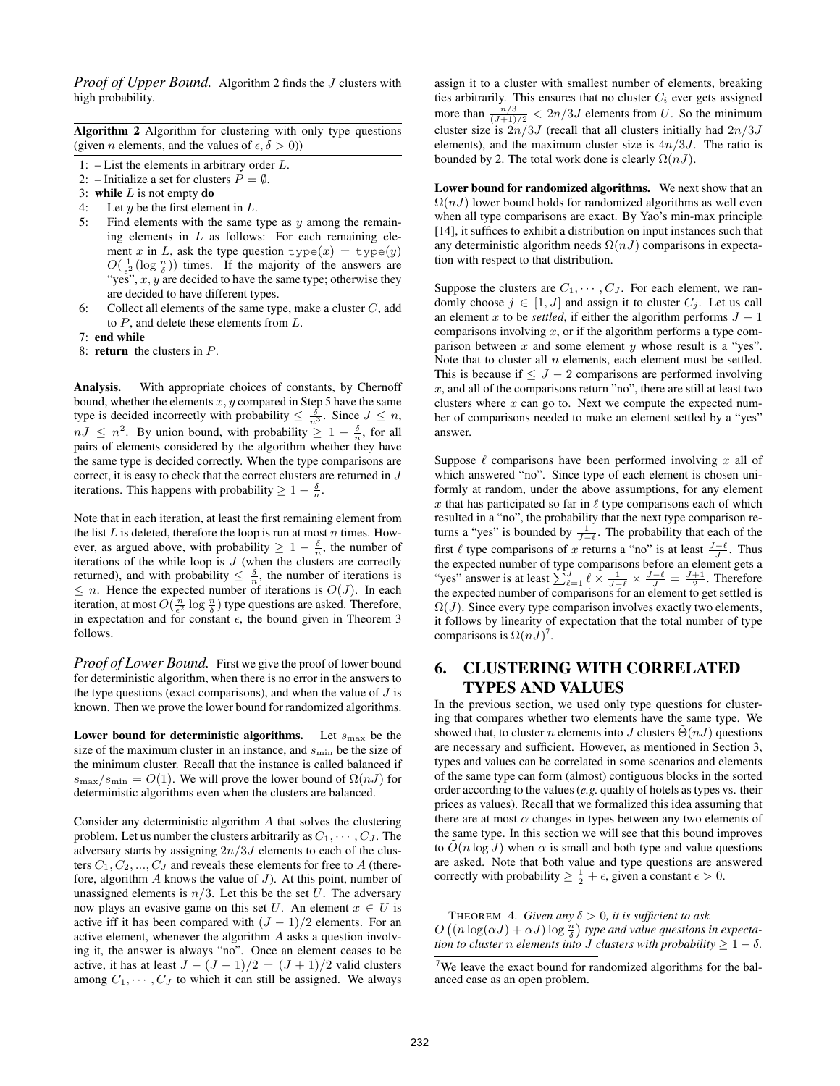*Proof of Upper Bound.* Algorithm 2 finds the *J* clusters with high probability.

|  | Algorithm 2 Algorithm for clustering with only type questions         |  |  |
|--|-----------------------------------------------------------------------|--|--|
|  | (given <i>n</i> elements, and the values of $\epsilon, \delta > 0$ )) |  |  |

- 1:  $-List$  the elements in arbitrary order  $L.$
- 2: Initialize a set for clusters  $P = \emptyset$ .
- 3: while  $L$  is not empty do
- 4: Let  $y$  be the first element in  $L$ .
- 5: Find elements with the same type as  $y$  among the remaining elements in  $L$  as follows: For each remaining element x in L, ask the type question  $type(x) = type(y)$  $O(\frac{1}{\epsilon^2}(\log \frac{n}{\delta}))$  times. If the majority of the answers are "yes",  $x, y$  are decided to have the same type; otherwise they are decided to have different types.
- 6: Collect all elements of the same type, make a cluster  $C$ , add to  $P$ , and delete these elements from  $L$ .
- 7: end while
- 8: return the clusters in P.

Analysis. With appropriate choices of constants, by Chernoff bound, whether the elements  $x, y$  compared in Step 5 have the same type is decided incorrectly with probability  $\leq \frac{\delta}{n^3}$ . Since  $J \leq n$ ,  $nJ \leq n^2$ . By union bound, with probability  $\geq 1 - \frac{\delta}{n}$ , for all pairs of elements considered by the algorithm whether they have the same type is decided correctly. When the type comparisons are correct, it is easy to check that the correct clusters are returned in J iterations. This happens with probability  $\geq 1 - \frac{\delta}{n}$ .

Note that in each iteration, at least the first remaining element from the list  $L$  is deleted, therefore the loop is run at most  $n$  times. However, as argued above, with probability  $\geq 1 - \frac{\delta}{n}$ , the number of iterations of the while loop is  $J$  (when the clusters are correctly returned), and with probability  $\leq \frac{\delta}{n}$ , the number of iterations is  $\leq n$ . Hence the expected number of iterations is  $O(J)$ . In each iteration, at most  $O(\frac{n}{\epsilon^2} \log \frac{n}{\delta})$  type questions are asked. Therefore, in expectation and for constant  $\epsilon$ , the bound given in Theorem 3 follows.

*Proof of Lower Bound.* First we give the proof of lower bound for deterministic algorithm, when there is no error in the answers to the type questions (exact comparisons), and when the value of  $J$  is known. Then we prove the lower bound for randomized algorithms.

Lower bound for deterministic algorithms. Let  $s_{\text{max}}$  be the size of the maximum cluster in an instance, and  $s_{\text{min}}$  be the size of the minimum cluster. Recall that the instance is called balanced if  $s_{\text{max}}/s_{\text{min}} = O(1)$ . We will prove the lower bound of  $\Omega(nJ)$  for deterministic algorithms even when the clusters are balanced.

Consider any deterministic algorithm A that solves the clustering problem. Let us number the clusters arbitrarily as  $C_1, \cdots, C_J$ . The adversary starts by assigning  $2n/3J$  elements to each of the clusters  $C_1, C_2, ..., C_J$  and reveals these elements for free to A (therefore, algorithm  $A$  knows the value of  $J$ ). At this point, number of unassigned elements is  $n/3$ . Let this be the set U. The adversary now plays an evasive game on this set U. An element  $x \in U$  is active iff it has been compared with  $(J - 1)/2$  elements. For an active element, whenever the algorithm A asks a question involving it, the answer is always "no". Once an element ceases to be active, it has at least  $J - (J - 1)/2 = (J + 1)/2$  valid clusters among  $C_1, \cdots, C_J$  to which it can still be assigned. We always assign it to a cluster with smallest number of elements, breaking ties arbitrarily. This ensures that no cluster  $C_i$  ever gets assigned more than  $\frac{n/3}{(J+1)/2} < 2n/3J$  elements from U. So the minimum cluster size is  $2n/3J$  (recall that all clusters initially had  $2n/3J$ elements), and the maximum cluster size is  $4n/3J$ . The ratio is bounded by 2. The total work done is clearly  $\Omega(nJ)$ .

Lower bound for randomized algorithms. We next show that an  $\Omega(nJ)$  lower bound holds for randomized algorithms as well even when all type comparisons are exact. By Yao's min-max principle [14], it suffices to exhibit a distribution on input instances such that any deterministic algorithm needs  $\Omega(nJ)$  comparisons in expectation with respect to that distribution.

Suppose the clusters are  $C_1, \cdots, C_J$ . For each element, we randomly choose  $j \in [1, J]$  and assign it to cluster  $C_j$ . Let us call an element x to be *settled*, if either the algorithm performs  $J - 1$ comparisons involving  $x$ , or if the algorithm performs a type comparison between  $x$  and some element  $y$  whose result is a "yes". Note that to cluster all  $n$  elements, each element must be settled. This is because if  $\leq J - 2$  comparisons are performed involving  $x$ , and all of the comparisons return "no", there are still at least two clusters where  $x$  can go to. Next we compute the expected number of comparisons needed to make an element settled by a "yes" answer.

Suppose  $\ell$  comparisons have been performed involving x all of which answered "no". Since type of each element is chosen uniformly at random, under the above assumptions, for any element  $x$  that has participated so far in  $\ell$  type comparisons each of which resulted in a "no", the probability that the next type comparison returns a "yes" is bounded by  $\frac{1}{J-\ell}$ . The probability that each of the first  $\ell$  type comparisons of x returns a "no" is at least  $\frac{J-\ell}{I}$ . Thus the expected number of type comparisons before an element gets a "yes" answer is at least  $\sum_{\ell=1}^{J} \ell \times \frac{1}{J-\ell} \times \frac{J-\ell}{J} = \frac{J+1}{2}$ . Therefore the expected number of comparisons for an element to get settled is  $\Omega(J)$ . Since every type comparison involves exactly two elements, it follows by linearity of expectation that the total number of type comparisons is  $\Omega(nJ)^7$ .

## 6. CLUSTERING WITH CORRELATED TYPES AND VALUES

In the previous section, we used only type questions for clustering that compares whether two elements have the same type. We showed that, to cluster *n* elements into *J* clusters  $\Theta(nJ)$  questions are necessary and sufficient. However, as mentioned in Section 3, types and values can be correlated in some scenarios and elements of the same type can form (almost) contiguous blocks in the sorted order according to the values (*e.g.* quality of hotels as types vs. their prices as values). Recall that we formalized this idea assuming that there are at most  $\alpha$  changes in types between any two elements of the same type. In this section we will see that this bound improves to  $\tilde{O}(n \log J)$  when  $\alpha$  is small and both type and value questions are asked. Note that both value and type questions are answered correctly with probability  $\geq \frac{1}{2} + \epsilon$ , given a constant  $\epsilon > 0$ .

THEOREM 4. *Given any*  $\delta > 0$ , *it is sufficient to ask*  $O\left((n\log(\alpha J)+\alpha J)\log\frac{n}{\delta}\right)$  type and value questions in expecta*tion to cluster n elements into J clusters with probability*  $\geq 1 - \delta$ *.* 

<sup>&</sup>lt;sup>7</sup>We leave the exact bound for randomized algorithms for the balanced case as an open problem.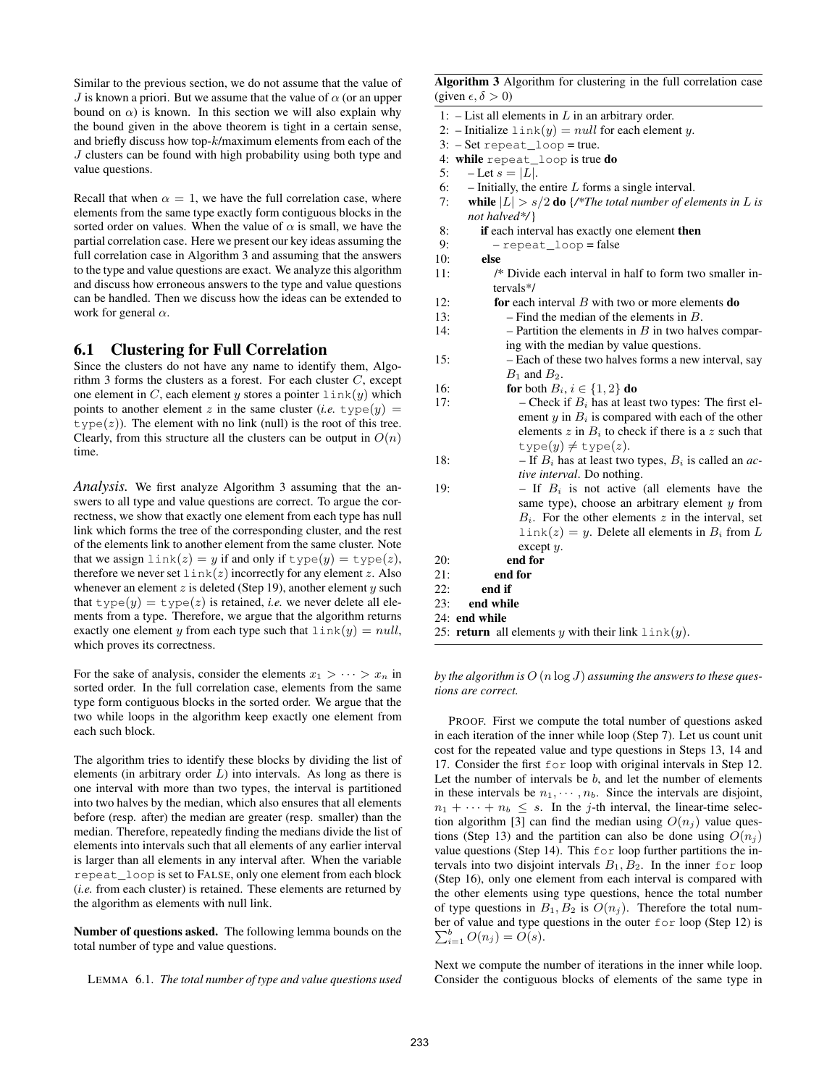Similar to the previous section, we do not assume that the value of J is known a priori. But we assume that the value of  $\alpha$  (or an upper bound on  $\alpha$ ) is known. In this section we will also explain why the bound given in the above theorem is tight in a certain sense, and briefly discuss how top-k/maximum elements from each of the J clusters can be found with high probability using both type and value questions.

Recall that when  $\alpha = 1$ , we have the full correlation case, where elements from the same type exactly form contiguous blocks in the sorted order on values. When the value of  $\alpha$  is small, we have the partial correlation case. Here we present our key ideas assuming the full correlation case in Algorithm 3 and assuming that the answers to the type and value questions are exact. We analyze this algorithm and discuss how erroneous answers to the type and value questions can be handled. Then we discuss how the ideas can be extended to work for general  $\alpha$ .

#### 6.1 Clustering for Full Correlation

Since the clusters do not have any name to identify them, Algorithm 3 forms the clusters as a forest. For each cluster  $C$ , except one element in C, each element y stores a pointer  $\text{link}(y)$  which points to another element z in the same cluster (*i.e.*  $type(y)$ )  $type(z)$ ). The element with no link (null) is the root of this tree. Clearly, from this structure all the clusters can be output in  $O(n)$ time.

*Analysis.* We first analyze Algorithm 3 assuming that the answers to all type and value questions are correct. To argue the correctness, we show that exactly one element from each type has null link which forms the tree of the corresponding cluster, and the rest of the elements link to another element from the same cluster. Note that we assign  $\text{link}(z) = y$  if and only if  $\text{type}(y) = \text{type}(z)$ , therefore we never set  $\text{link}(z)$  incorrectly for any element z. Also whenever an element  $z$  is deleted (Step 19), another element  $y$  such that  $type(y) = type(z)$  is retained, *i.e.* we never delete all elements from a type. Therefore, we argue that the algorithm returns exactly one element y from each type such that  $\text{link}(y) = null$ , which proves its correctness.

For the sake of analysis, consider the elements  $x_1 > \cdots > x_n$  in sorted order. In the full correlation case, elements from the same type form contiguous blocks in the sorted order. We argue that the two while loops in the algorithm keep exactly one element from each such block.

The algorithm tries to identify these blocks by dividing the list of elements (in arbitrary order  $L$ ) into intervals. As long as there is one interval with more than two types, the interval is partitioned into two halves by the median, which also ensures that all elements before (resp. after) the median are greater (resp. smaller) than the median. Therefore, repeatedly finding the medians divide the list of elements into intervals such that all elements of any earlier interval is larger than all elements in any interval after. When the variable repeat\_loop is set to FALSE, only one element from each block (*i.e.* from each cluster) is retained. These elements are returned by the algorithm as elements with null link.

Number of questions asked. The following lemma bounds on the total number of type and value questions.

LEMMA 6.1. *The total number of type and value questions used*

Algorithm 3 Algorithm for clustering in the full correlation case (given  $\epsilon, \delta > 0$ )

- 1: List all elements in  $L$  in an arbitrary order.
- 2: Initialize  $\text{link}(y) = null$  for each element y.
- 3: Set repeat\_loop = true.
- 4: while repeat\_loop is true do
- 5: Let  $s = |L|$ .
- 6: Initially, the entire  $L$  forms a single interval.
- 7: while  $|L| > s/2$  do  $\frac{\sqrt{s}}{2}$  *o* the *total number of elements in L is not halved\*/*}
- 8: if each interval has exactly one element then
- 9:  $-$  repeat loop = false
- 10: else
- 11: /\* Divide each interval in half to form two smaller intervals\*/
- 12: **for** each interval  $B$  with two or more elements **do**
- 13: Find the median of the elements in B.
- 14: Partition the elements in  $B$  in two halves comparing with the median by value questions.
- 15: Each of these two halves forms a new interval, say  $B_1$  and  $B_2$ .
- 16: **for** both  $B_i$ ,  $i \in \{1, 2\}$  **do**
- 17: Check if  $B_i$  has at least two types: The first element  $y$  in  $B_i$  is compared with each of the other elements  $z$  in  $B_i$  to check if there is a  $z$  such that  $type(y) \neq type(z)$ .
- 18: If B<sup>i</sup> has at least two types, B<sup>i</sup> is called an *active interval*. Do nothing.
- 19: If  $B_i$  is not active (all elements have the same type), choose an arbitrary element  $y$  from  $B_i$ . For the other elements z in the interval, set  $\text{link}(z) = y$ . Delete all elements in  $B_i$  from L except y.
- 20: end for
- 21: end for
- $22:$  end if
- 23: end while
- 24: end while
- 25: **return** all elements y with their link  $\text{link}(y)$ .

*by the algorithm is* O (n log J) *assuming the answers to these questions are correct.*

PROOF. First we compute the total number of questions asked in each iteration of the inner while loop (Step 7). Let us count unit cost for the repeated value and type questions in Steps 13, 14 and 17. Consider the first for loop with original intervals in Step 12. Let the number of intervals be  $b$ , and let the number of elements in these intervals be  $n_1, \dots, n_b$ . Since the intervals are disjoint,  $n_1 + \cdots + n_b \leq s$ . In the *j*-th interval, the linear-time selection algorithm [3] can find the median using  $O(n_i)$  value questions (Step 13) and the partition can also be done using  $O(n_i)$ value questions (Step 14). This for loop further partitions the intervals into two disjoint intervals  $B_1, B_2$ . In the inner for loop (Step 16), only one element from each interval is compared with the other elements using type questions, hence the total number of type questions in  $B_1, B_2$  is  $O(n_i)$ . Therefore the total number of value and type questions in the outer for loop (Step 12) is  $\sum_{i=1}^{b} O(n_j) = O(s).$ 

Next we compute the number of iterations in the inner while loop. Consider the contiguous blocks of elements of the same type in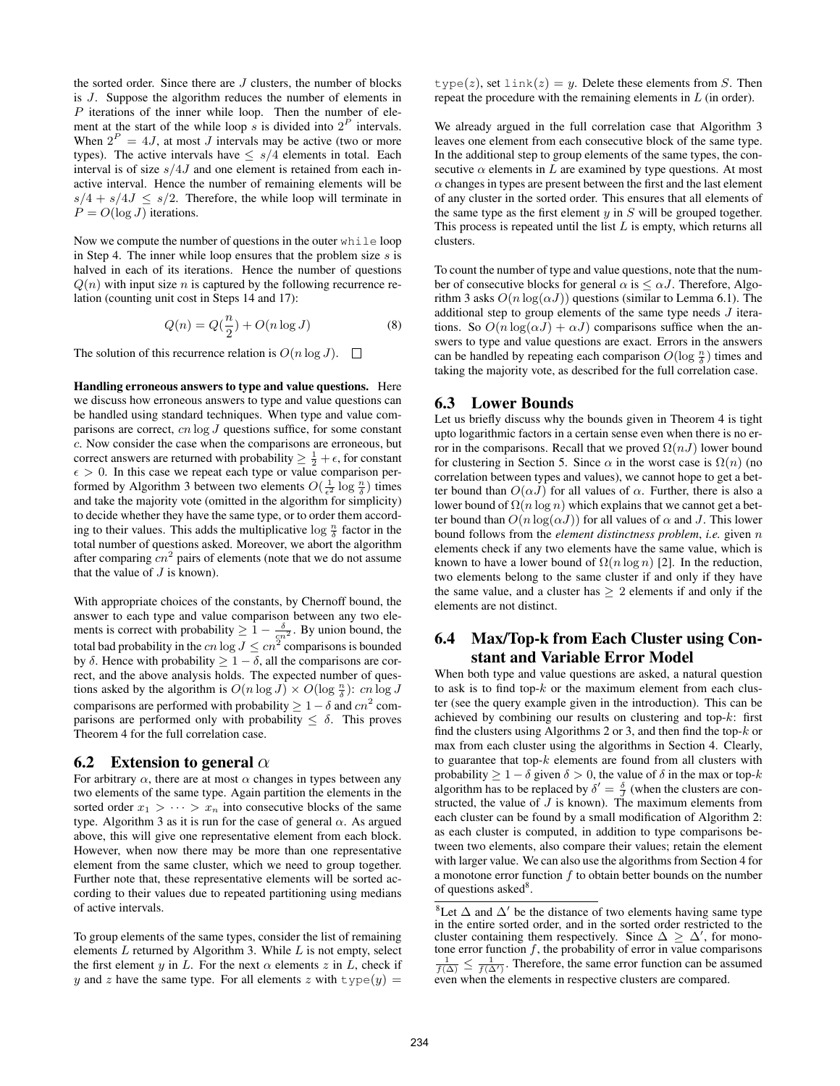the sorted order. Since there are  $J$  clusters, the number of blocks is J. Suppose the algorithm reduces the number of elements in  $P$  iterations of the inner while loop. Then the number of element at the start of the while loop s is divided into  $2^P$  intervals. When  $2^P = 4J$ , at most J intervals may be active (two or more types). The active intervals have  $\leq s/4$  elements in total. Each interval is of size  $s/4J$  and one element is retained from each inactive interval. Hence the number of remaining elements will be  $s/4 + s/4J \leq s/2$ . Therefore, the while loop will terminate in  $P = O(\log J)$  iterations.

Now we compute the number of questions in the outer while loop in Step 4. The inner while loop ensures that the problem size  $s$  is halved in each of its iterations. Hence the number of questions  $Q(n)$  with input size n is captured by the following recurrence relation (counting unit cost in Steps 14 and 17):

$$
Q(n) = Q(\frac{n}{2}) + O(n \log J)
$$
 (8)

The solution of this recurrence relation is  $O(n \log J)$ .  $\Box$ 

Handling erroneous answers to type and value questions. Here we discuss how erroneous answers to type and value questions can be handled using standard techniques. When type and value comparisons are correct,  $cn \log J$  questions suffice, for some constant c. Now consider the case when the comparisons are erroneous, but correct answers are returned with probability  $\geq \frac{1}{2} + \epsilon$ , for constant  $\epsilon > 0$ . In this case we repeat each type or value comparison performed by Algorithm 3 between two elements  $O(\frac{1}{\epsilon^2} \log \frac{n}{\delta})$  times and take the majority vote (omitted in the algorithm for simplicity) to decide whether they have the same type, or to order them according to their values. This adds the multiplicative  $\log \frac{n}{\delta}$  factor in the total number of questions asked. Moreover, we abort the algorithm after comparing  $cn^2$  pairs of elements (note that we do not assume that the value of  $J$  is known).

With appropriate choices of the constants, by Chernoff bound, the answer to each type and value comparison between any two elements is correct with probability  $\geq 1 - \frac{\delta}{cn^2}$ . By union bound, the total bad probability in the  $cn \log J \leq cn^2$  comparisons is bounded by  $\delta$ . Hence with probability  $\geq 1 - \delta$ , all the comparisons are correct, and the above analysis holds. The expected number of questions asked by the algorithm is  $O(n \log J) \times O(\log \frac{n}{\delta})$ : cn  $\log J$ comparisons are performed with probability  $\geq 1 - \delta$  and  $cn^2$  comparisons are performed only with probability  $\leq \delta$ . This proves Theorem 4 for the full correlation case.

#### 6.2 Extension to general  $\alpha$

For arbitrary  $\alpha$ , there are at most  $\alpha$  changes in types between any two elements of the same type. Again partition the elements in the sorted order  $x_1 > \cdots > x_n$  into consecutive blocks of the same type. Algorithm 3 as it is run for the case of general  $\alpha$ . As argued above, this will give one representative element from each block. However, when now there may be more than one representative element from the same cluster, which we need to group together. Further note that, these representative elements will be sorted according to their values due to repeated partitioning using medians of active intervals.

To group elements of the same types, consider the list of remaining elements  $L$  returned by Algorithm 3. While  $L$  is not empty, select the first element y in L. For the next  $\alpha$  elements z in L, check if y and z have the same type. For all elements z with  $type(y) =$ 

type(z), set  $\text{link}(z) = y$ . Delete these elements from S. Then repeat the procedure with the remaining elements in L (in order).

We already argued in the full correlation case that Algorithm 3 leaves one element from each consecutive block of the same type. In the additional step to group elements of the same types, the consecutive  $\alpha$  elements in L are examined by type questions. At most  $\alpha$  changes in types are present between the first and the last element of any cluster in the sorted order. This ensures that all elements of the same type as the first element  $y$  in  $S$  will be grouped together. This process is repeated until the list  $L$  is empty, which returns all clusters.

To count the number of type and value questions, note that the number of consecutive blocks for general  $\alpha$  is  $\leq \alpha J$ . Therefore, Algorithm 3 asks  $O(n \log(\alpha J))$  questions (similar to Lemma 6.1). The additional step to group elements of the same type needs J iterations. So  $O(n \log(\alpha J) + \alpha J)$  comparisons suffice when the answers to type and value questions are exact. Errors in the answers can be handled by repeating each comparison  $O(\log \frac{n}{\delta})$  times and taking the majority vote, as described for the full correlation case.

#### 6.3 Lower Bounds

Let us briefly discuss why the bounds given in Theorem 4 is tight upto logarithmic factors in a certain sense even when there is no error in the comparisons. Recall that we proved  $\Omega(nJ)$  lower bound for clustering in Section 5. Since  $\alpha$  in the worst case is  $\Omega(n)$  (no correlation between types and values), we cannot hope to get a better bound than  $O(\alpha J)$  for all values of  $\alpha$ . Further, there is also a lower bound of  $\Omega(n \log n)$  which explains that we cannot get a better bound than  $O(n \log(\alpha J))$  for all values of  $\alpha$  and J. This lower bound follows from the *element distinctness problem*, *i.e.* given n elements check if any two elements have the same value, which is known to have a lower bound of  $\Omega(n \log n)$  [2]. In the reduction, two elements belong to the same cluster if and only if they have the same value, and a cluster has  $\geq 2$  elements if and only if the elements are not distinct.

### 6.4 Max/Top-k from Each Cluster using Constant and Variable Error Model

When both type and value questions are asked, a natural question to ask is to find top- $k$  or the maximum element from each cluster (see the query example given in the introduction). This can be achieved by combining our results on clustering and top- $k$ : first find the clusters using Algorithms 2 or 3, and then find the top- $k$  or max from each cluster using the algorithms in Section 4. Clearly, to guarantee that top- $k$  elements are found from all clusters with probability  $\geq 1 - \delta$  given  $\delta > 0$ , the value of  $\delta$  in the max or top- $k$ algorithm has to be replaced by  $\delta' = \frac{\delta}{J}$  (when the clusters are constructed, the value of  $J$  is known). The maximum elements from each cluster can be found by a small modification of Algorithm 2: as each cluster is computed, in addition to type comparisons between two elements, also compare their values; retain the element with larger value. We can also use the algorithms from Section 4 for a monotone error function  $f$  to obtain better bounds on the number of questions asked<sup>8</sup>.

<sup>&</sup>lt;sup>8</sup>Let  $\Delta$  and  $\Delta'$  be the distance of two elements having same type in the entire sorted order, and in the sorted order restricted to the cluster containing them respectively. Since  $\Delta \geq \Delta'$ , for monotone error function f, the probability of error in value comparisons  $\frac{1}{f(\Delta)} \leq \frac{1}{f(\Delta')}$ . Therefore, the same error function can be assumed even when the elements in respective clusters are compared.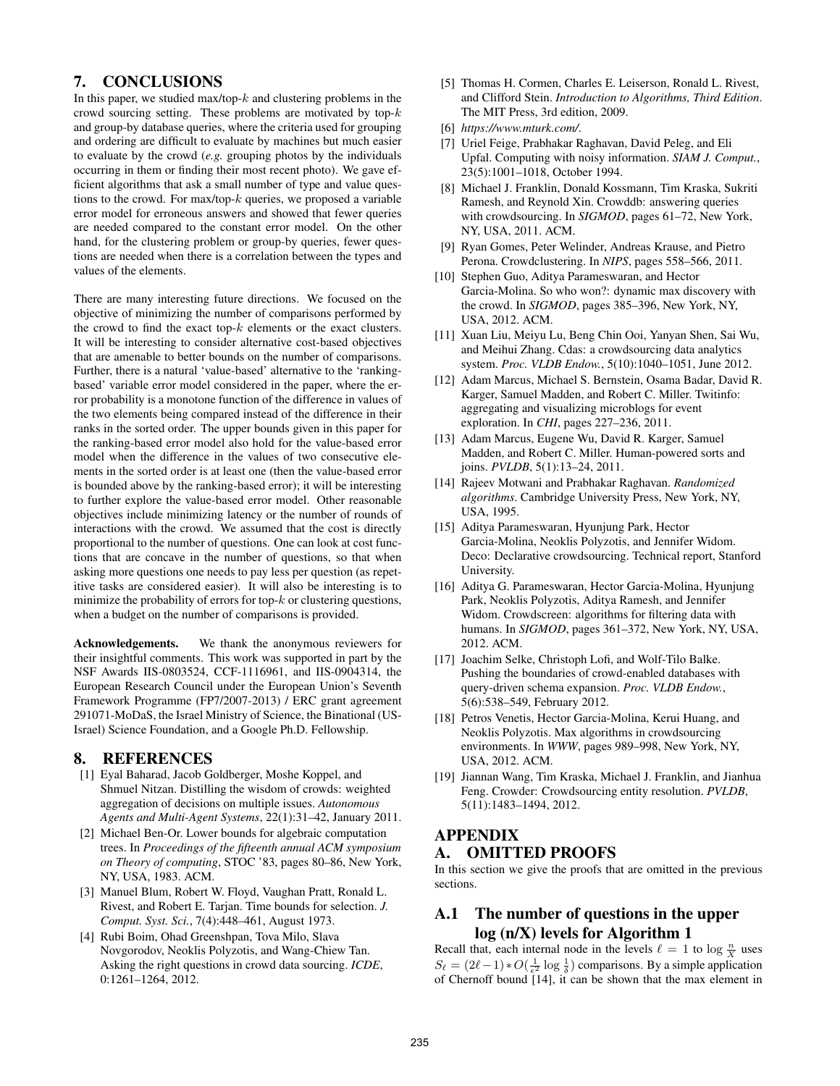### 7. CONCLUSIONS

In this paper, we studied max/top- $k$  and clustering problems in the crowd sourcing setting. These problems are motivated by top- $k$ and group-by database queries, where the criteria used for grouping and ordering are difficult to evaluate by machines but much easier to evaluate by the crowd (*e.g.* grouping photos by the individuals occurring in them or finding their most recent photo). We gave efficient algorithms that ask a small number of type and value questions to the crowd. For max/top- $k$  queries, we proposed a variable error model for erroneous answers and showed that fewer queries are needed compared to the constant error model. On the other hand, for the clustering problem or group-by queries, fewer questions are needed when there is a correlation between the types and values of the elements.

There are many interesting future directions. We focused on the objective of minimizing the number of comparisons performed by the crowd to find the exact top- $k$  elements or the exact clusters. It will be interesting to consider alternative cost-based objectives that are amenable to better bounds on the number of comparisons. Further, there is a natural 'value-based' alternative to the 'rankingbased' variable error model considered in the paper, where the error probability is a monotone function of the difference in values of the two elements being compared instead of the difference in their ranks in the sorted order. The upper bounds given in this paper for the ranking-based error model also hold for the value-based error model when the difference in the values of two consecutive elements in the sorted order is at least one (then the value-based error is bounded above by the ranking-based error); it will be interesting to further explore the value-based error model. Other reasonable objectives include minimizing latency or the number of rounds of interactions with the crowd. We assumed that the cost is directly proportional to the number of questions. One can look at cost functions that are concave in the number of questions, so that when asking more questions one needs to pay less per question (as repetitive tasks are considered easier). It will also be interesting is to minimize the probability of errors for top- $k$  or clustering questions, when a budget on the number of comparisons is provided.

Acknowledgements. We thank the anonymous reviewers for their insightful comments. This work was supported in part by the NSF Awards IIS-0803524, CCF-1116961, and IIS-0904314, the European Research Council under the European Union's Seventh Framework Programme (FP7/2007-2013) / ERC grant agreement 291071-MoDaS, the Israel Ministry of Science, the Binational (US-Israel) Science Foundation, and a Google Ph.D. Fellowship.

### 8. REFERENCES

- [1] Eyal Baharad, Jacob Goldberger, Moshe Koppel, and Shmuel Nitzan. Distilling the wisdom of crowds: weighted aggregation of decisions on multiple issues. *Autonomous Agents and Multi-Agent Systems*, 22(1):31–42, January 2011.
- [2] Michael Ben-Or. Lower bounds for algebraic computation trees. In *Proceedings of the fifteenth annual ACM symposium on Theory of computing*, STOC '83, pages 80–86, New York, NY, USA, 1983. ACM.
- [3] Manuel Blum, Robert W. Floyd, Vaughan Pratt, Ronald L. Rivest, and Robert E. Tarjan. Time bounds for selection. *J. Comput. Syst. Sci.*, 7(4):448–461, August 1973.
- [4] Rubi Boim, Ohad Greenshpan, Tova Milo, Slava Novgorodov, Neoklis Polyzotis, and Wang-Chiew Tan. Asking the right questions in crowd data sourcing. *ICDE*, 0:1261–1264, 2012.
- [5] Thomas H. Cormen, Charles E. Leiserson, Ronald L. Rivest, and Clifford Stein. *Introduction to Algorithms, Third Edition*. The MIT Press, 3rd edition, 2009.
- [6] *https://www.mturk.com/*.
- [7] Uriel Feige, Prabhakar Raghavan, David Peleg, and Eli Upfal. Computing with noisy information. *SIAM J. Comput.*, 23(5):1001–1018, October 1994.
- [8] Michael J. Franklin, Donald Kossmann, Tim Kraska, Sukriti Ramesh, and Reynold Xin. Crowddb: answering queries with crowdsourcing. In *SIGMOD*, pages 61–72, New York, NY, USA, 2011. ACM.
- [9] Ryan Gomes, Peter Welinder, Andreas Krause, and Pietro Perona. Crowdclustering. In *NIPS*, pages 558–566, 2011.
- [10] Stephen Guo, Aditya Parameswaran, and Hector Garcia-Molina. So who won?: dynamic max discovery with the crowd. In *SIGMOD*, pages 385–396, New York, NY, USA, 2012. ACM.
- [11] Xuan Liu, Meiyu Lu, Beng Chin Ooi, Yanyan Shen, Sai Wu, and Meihui Zhang. Cdas: a crowdsourcing data analytics system. *Proc. VLDB Endow.*, 5(10):1040–1051, June 2012.
- [12] Adam Marcus, Michael S. Bernstein, Osama Badar, David R. Karger, Samuel Madden, and Robert C. Miller. Twitinfo: aggregating and visualizing microblogs for event exploration. In *CHI*, pages 227–236, 2011.
- [13] Adam Marcus, Eugene Wu, David R. Karger, Samuel Madden, and Robert C. Miller. Human-powered sorts and joins. *PVLDB*, 5(1):13–24, 2011.
- [14] Rajeev Motwani and Prabhakar Raghavan. *Randomized algorithms*. Cambridge University Press, New York, NY, USA, 1995.
- [15] Aditya Parameswaran, Hyunjung Park, Hector Garcia-Molina, Neoklis Polyzotis, and Jennifer Widom. Deco: Declarative crowdsourcing. Technical report, Stanford University.
- [16] Aditya G. Parameswaran, Hector Garcia-Molina, Hyunjung Park, Neoklis Polyzotis, Aditya Ramesh, and Jennifer Widom. Crowdscreen: algorithms for filtering data with humans. In *SIGMOD*, pages 361–372, New York, NY, USA, 2012. ACM.
- [17] Joachim Selke, Christoph Lofi, and Wolf-Tilo Balke. Pushing the boundaries of crowd-enabled databases with query-driven schema expansion. *Proc. VLDB Endow.*, 5(6):538–549, February 2012.
- [18] Petros Venetis, Hector Garcia-Molina, Kerui Huang, and Neoklis Polyzotis. Max algorithms in crowdsourcing environments. In *WWW*, pages 989–998, New York, NY, USA, 2012. ACM.
- [19] Jiannan Wang, Tim Kraska, Michael J. Franklin, and Jianhua Feng. Crowder: Crowdsourcing entity resolution. *PVLDB*, 5(11):1483–1494, 2012.

### APPENDIX A. OMITTED PROOFS

In this section we give the proofs that are omitted in the previous sections.

## A.1 The number of questions in the upper log (n/X) levels for Algorithm 1

Recall that, each internal node in the levels  $\ell = 1$  to  $\log \frac{n}{X}$  uses  $S_\ell = (2\ell - 1) * O(\frac{1}{\epsilon^2} \log \frac{1}{\delta})$  comparisons. By a simple application of Chernoff bound [14], it can be shown that the max element in